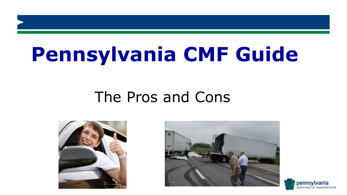## The Pros and Cons



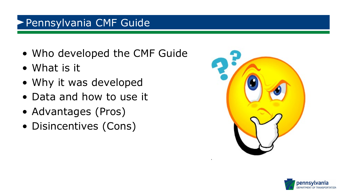- Who developed the CMF Guide
- What is it
- Why it was developed
- Data and how to use it
- Advantages (Pros)
- Disincentives (Cons)



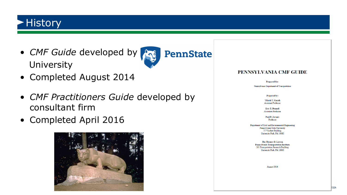#### **History**

• *CMF Guide* developed by University



- Completed August 2014
- *CMF Practitioners Guide* developed by consultant firm
- Completed April 2016



#### PENNSYLVANIA CMF GUIDE

Prepared for:

Pennsylvania Department of Transportation

Prepared by:

Vikash V. Gayah **Assistant Professor** 

Eric T. Donnell Associate Professor

Paul P. Jovanis Professor

Department of Civil and Environmental Engineering Pennsylvania State University 217 Sackett Building University Park, PA 16082

> The Thomas D. Larson Pennsylvania Transportation Institute 201 Transportation Research Building University Park, PA 16802

> > August 2014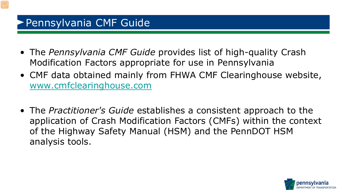- The *Pennsylvania CMF Guide* provides list of high-quality Crash Modification Factors appropriate for use in Pennsylvania
- CMF data obtained mainly from FHWA CMF Clearinghouse website, [www.cmfclearinghouse.com](http://www.cmfclearinghouse.com/)
- The *Practitioner's Guide* establishes a consistent approach to the application of Crash Modification Factors (CMFs) within the context of the Highway Safety Manual (HSM) and the PennDOT HSM analysis tools.

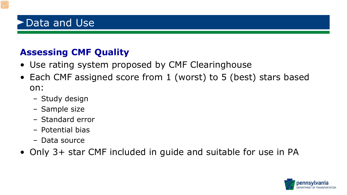#### Data and Use

#### **Assessing CMF Quality**

- Use rating system proposed by CMF Clearinghouse
- Each CMF assigned score from 1 (worst) to 5 (best) stars based on:
	- Study design
	- Sample size
	- Standard error
	- Potential bias
	- Data source
- Only 3+ star CMF included in guide and suitable for use in PA

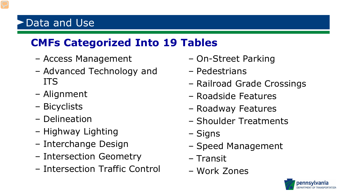### Data and Use

#### **CMFs Categorized Into 19 Tables**

- Access Management
- Advanced Technology and ITS
- Alignment
- Bicyclists
- Delineation
- Highway Lighting
- Interchange Design
- Intersection Geometry
- Intersection Traffic Control
- On-Street Parking
- Pedestrians
- Railroad Grade Crossings
- Roadside Features
- Roadway Features
- Shoulder Treatments
- Signs
- Speed Management
- Transit
- Work Zones

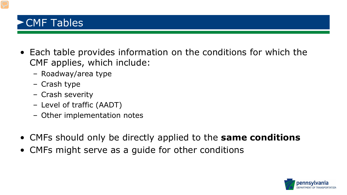#### CMF Tables

- Each table provides information on the conditions for which the CMF applies, which include:
	- Roadway/area type
	- Crash type
	- Crash severity
	- Level of traffic (AADT)
	- Other implementation notes
- CMFs should only be directly applied to the **same conditions**
- CMFs might serve as a guide for other conditions

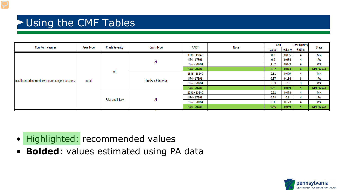#### Using the CMF Tables

| Countermeasures                                      | Area Type | <b>Crash Severity</b> | Crash Type         | AADT         | Note | <b>CMF</b> |          | <b>Star Quality</b> |            |
|------------------------------------------------------|-----------|-----------------------|--------------------|--------------|------|------------|----------|---------------------|------------|
|                                                      |           |                       |                    |              |      | Value      | Std. Err | Rating              | State      |
| Install centerline rumble strips on tangent sections | Rural     | All                   | All                | 1336 - 13240 |      | 0.9        | 0.055    | 4                   | MN         |
|                                                      |           |                       |                    | 574 - 17591  |      | 0.9        | 0.084    |                     | PA         |
|                                                      |           |                       |                    | 3167 - 20784 |      | 1.02       | 0.093    |                     | WA         |
|                                                      |           |                       |                    | 574 - 20784  |      | 0.92       | 0.043    |                     | MN,PA,WA   |
|                                                      |           |                       | Head-on, Sideswipe | 1336 - 13240 |      | 0.51       | 0.079    |                     | MN         |
|                                                      |           |                       |                    | 574 - 17591  |      | 0.57       | 0.184    | 3                   | PA         |
|                                                      |           |                       |                    | 3167 - 20784 |      | 0.33       | 0.19     | 3                   | <b>WA</b>  |
|                                                      |           |                       |                    | 574 - 20784  |      | 0.51       | 0.069    |                     | MN,PA,WA   |
|                                                      |           | Fatal and injury      | All                | 1336 - 13240 |      | 0.82       | 0.078    | 4                   | ΜN         |
|                                                      |           |                       |                    | 574 - 17591  |      | 0.78       | 0.1      |                     | PA         |
|                                                      |           |                       |                    | 3167 - 20784 |      | 1.1        | 0.173    | 4                   | WA         |
|                                                      |           |                       |                    | 574 - 20784  |      | 0.85       | 0.059    |                     | MN, PA, WA |
|                                                      |           |                       |                    |              |      |            |          |                     |            |

- Highlighted: recommended values
- **Bolded**: values estimated using PA data

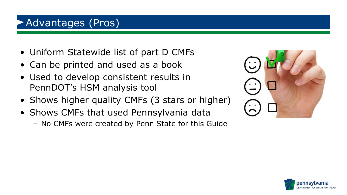#### Advantages (Pros)

- Uniform Statewide list of part D CMFs
- Can be printed and used as a book
- Used to develop consistent results in PennDOT's HSM analysis tool
- Shows higher quality CMFs (3 stars or higher)
- Shows CMFs that used Pennsylvania data
	- No CMFs were created by Penn State for this Guide



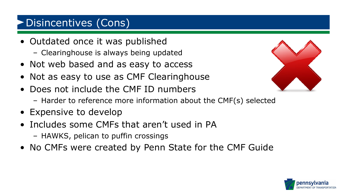### Disincentives (Cons)

- Outdated once it was published
	- Clearinghouse is always being updated
- Not web based and as easy to access
- Not as easy to use as CMF Clearinghouse
- Does not include the CMF ID numbers
	- Harder to reference more information about the CMF(s) selected
- Expensive to develop
- Includes some CMFs that aren't used in PA
	- HAWKS, pelican to puffin crossings
- No CMFs were created by Penn State for the CMF Guide